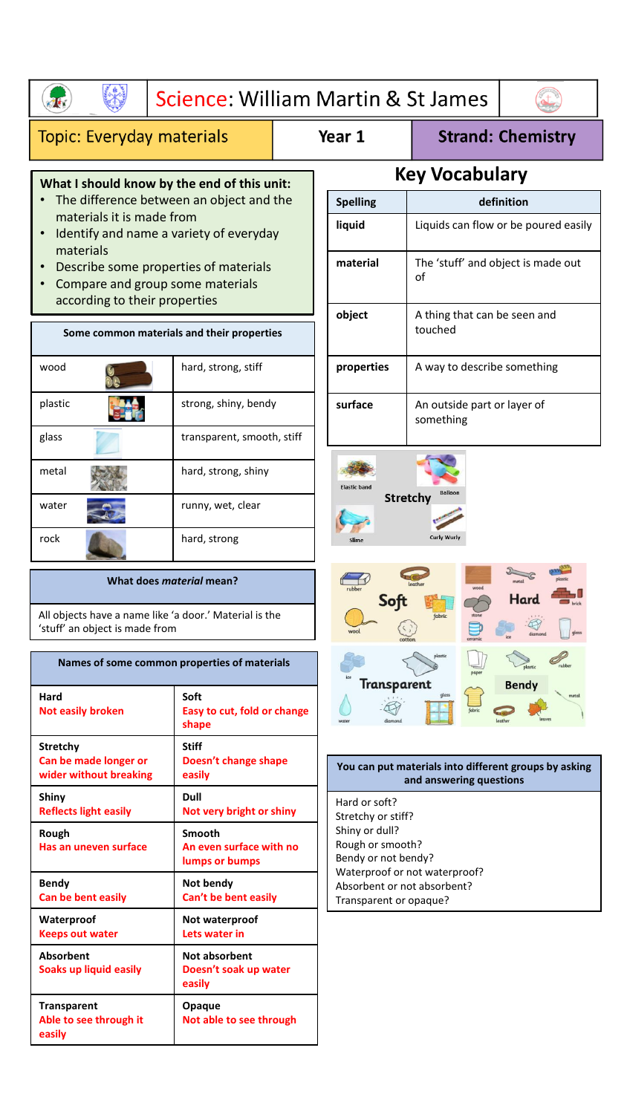|                                                                                                                                                                                                                                                                                                                                          |                                                     | Science: William Martin & St James |                                                                                                                                                     |                             |                                                       |  |
|------------------------------------------------------------------------------------------------------------------------------------------------------------------------------------------------------------------------------------------------------------------------------------------------------------------------------------------|-----------------------------------------------------|------------------------------------|-----------------------------------------------------------------------------------------------------------------------------------------------------|-----------------------------|-------------------------------------------------------|--|
| <b>Topic: Everyday materials</b>                                                                                                                                                                                                                                                                                                         |                                                     |                                    | Year 1                                                                                                                                              |                             | <b>Strand: Chemistry</b>                              |  |
| What I should know by the end of this unit:<br>The difference between an object and the<br>materials it is made from<br>Identify and name a variety of everyday<br>materials<br>Describe some properties of materials<br>Compare and group some materials<br>according to their properties<br>Some common materials and their properties |                                                     |                                    | <b>Key Vocabulary</b>                                                                                                                               |                             |                                                       |  |
|                                                                                                                                                                                                                                                                                                                                          |                                                     |                                    | <b>Spelling</b>                                                                                                                                     | definition                  |                                                       |  |
|                                                                                                                                                                                                                                                                                                                                          |                                                     |                                    | Liquids can flow or be poured easily<br>liquid                                                                                                      |                             |                                                       |  |
|                                                                                                                                                                                                                                                                                                                                          |                                                     |                                    | material<br>The 'stuff' and object is made out<br>οf                                                                                                |                             |                                                       |  |
|                                                                                                                                                                                                                                                                                                                                          |                                                     |                                    | object<br>A thing that can be seen and<br>touched                                                                                                   |                             |                                                       |  |
| wood                                                                                                                                                                                                                                                                                                                                     | hard, strong, stiff                                 |                                    | properties                                                                                                                                          | A way to describe something |                                                       |  |
| plastic                                                                                                                                                                                                                                                                                                                                  | strong, shiny, bendy                                |                                    | surface<br>An outside part or layer of<br>something                                                                                                 |                             |                                                       |  |
| glass                                                                                                                                                                                                                                                                                                                                    | transparent, smooth, stiff                          |                                    |                                                                                                                                                     |                             |                                                       |  |
| metal                                                                                                                                                                                                                                                                                                                                    | hard, strong, shiny                                 |                                    | <b>Elastic band</b>                                                                                                                                 | Balloor                     |                                                       |  |
| water                                                                                                                                                                                                                                                                                                                                    | runny, wet, clear                                   |                                    | <b>Stretchy</b>                                                                                                                                     |                             |                                                       |  |
| rock                                                                                                                                                                                                                                                                                                                                     | hard, strong                                        |                                    | Slime                                                                                                                                               | <b>Curly Wurly</b>          |                                                       |  |
| What does material mean?                                                                                                                                                                                                                                                                                                                 |                                                     |                                    |                                                                                                                                                     |                             |                                                       |  |
| All objects have a name like 'a door.' Material is the<br>'stuff' an object is made from                                                                                                                                                                                                                                                 |                                                     |                                    | fabric                                                                                                                                              |                             |                                                       |  |
|                                                                                                                                                                                                                                                                                                                                          | Names of some common properties of materials        |                                    |                                                                                                                                                     | Transparent                 |                                                       |  |
| Hard<br><b>Not easily broken</b>                                                                                                                                                                                                                                                                                                         | Soft<br>Easy to cut, fold or change<br>shape        |                                    |                                                                                                                                                     |                             | <b>Bendy</b>                                          |  |
| <b>Stretchy</b><br>Can be made longer or<br>wider without breaking                                                                                                                                                                                                                                                                       | <b>Stiff</b><br>Doesn't change shape<br>easily      |                                    |                                                                                                                                                     | and answering questions     | You can put materials into different groups by asking |  |
| Shiny<br><b>Reflects light easily</b>                                                                                                                                                                                                                                                                                                    | <b>Dull</b><br>Not very bright or shiny             |                                    | Hard or soft?<br>Stretchy or stiff?                                                                                                                 |                             |                                                       |  |
| Rough<br>Has an uneven surface                                                                                                                                                                                                                                                                                                           | Smooth<br>An even surface with no<br>lumps or bumps |                                    | Shiny or dull?<br>Rough or smooth?<br>Bendy or not bendy?<br>Waterproof or not waterproof?<br>Absorbent or not absorbent?<br>Transparent or opaque? |                             |                                                       |  |
| <b>Bendy</b><br>Can be bent easily                                                                                                                                                                                                                                                                                                       | Not bendy<br>Can't be bent easily                   |                                    |                                                                                                                                                     |                             |                                                       |  |
| Waterproof<br><b>Keeps out water</b>                                                                                                                                                                                                                                                                                                     | Not waterproof<br>Lets water in                     |                                    |                                                                                                                                                     |                             |                                                       |  |
| Absorbent<br>Soaks up liquid easily                                                                                                                                                                                                                                                                                                      | Not absorbent<br>Doesn't soak up water<br>easily    |                                    |                                                                                                                                                     |                             |                                                       |  |
| <b>Transparent</b>                                                                                                                                                                                                                                                                                                                       | Opaque                                              |                                    |                                                                                                                                                     |                             |                                                       |  |

**Able to see through it** 

**Not able to see through**

I

**easily**